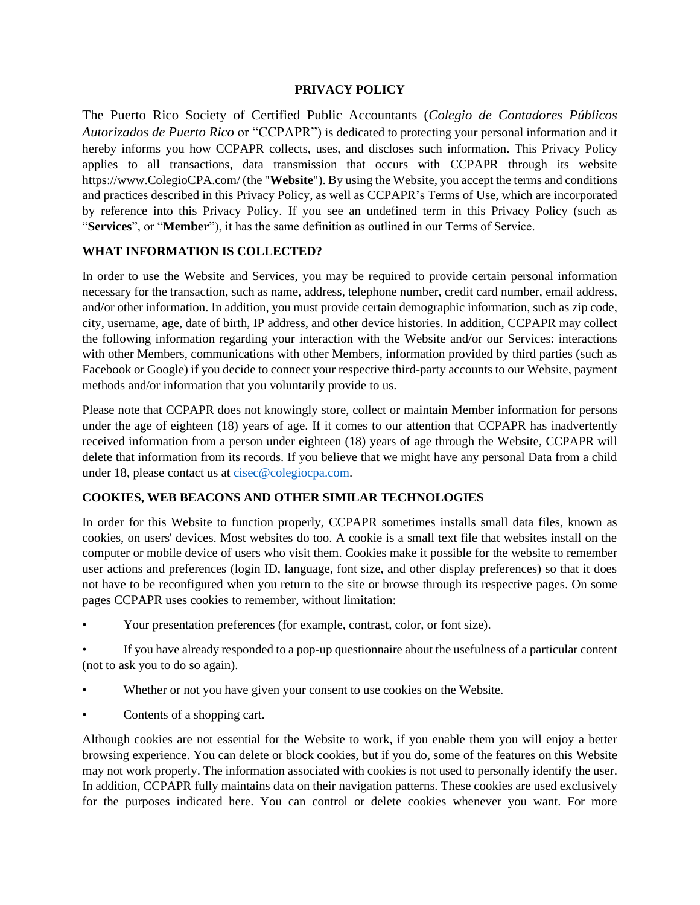#### **PRIVACY POLICY**

The Puerto Rico Society of Certified Public Accountants (*Colegio de Contadores Públicos Autorizados de Puerto Rico* or "CCPAPR") is dedicated to protecting your personal information and it hereby informs you how CCPAPR collects, uses, and discloses such information. This Privacy Policy applies to all transactions, data transmission that occurs with CCPAPR through its website https://www.ColegioCPA.com/ (the "**Website**"). By using the Website, you accept the terms and conditions and practices described in this Privacy Policy, as well as CCPAPR's Terms of Use, which are incorporated by reference into this Privacy Policy. If you see an undefined term in this Privacy Policy (such as "**Services**", or "**Member**"), it has the same definition as outlined in our Terms of Service.

#### **WHAT INFORMATION IS COLLECTED?**

In order to use the Website and Services, you may be required to provide certain personal information necessary for the transaction, such as name, address, telephone number, credit card number, email address, and/or other information. In addition, you must provide certain demographic information, such as zip code, city, username, age, date of birth, IP address, and other device histories. In addition, CCPAPR may collect the following information regarding your interaction with the Website and/or our Services: interactions with other Members, communications with other Members, information provided by third parties (such as Facebook or Google) if you decide to connect your respective third-party accounts to our Website, payment methods and/or information that you voluntarily provide to us.

Please note that CCPAPR does not knowingly store, collect or maintain Member information for persons under the age of eighteen (18) years of age. If it comes to our attention that CCPAPR has inadvertently received information from a person under eighteen (18) years of age through the Website, CCPAPR will delete that information from its records. If you believe that we might have any personal Data from a child under 18, please contact us at [cisec@colegiocpa.com.](mailto:cisec@colegiocpa.com)

#### **COOKIES, WEB BEACONS AND OTHER SIMILAR TECHNOLOGIES**

In order for this Website to function properly, CCPAPR sometimes installs small data files, known as cookies, on users' devices. Most websites do too. A cookie is a small text file that websites install on the computer or mobile device of users who visit them. Cookies make it possible for the website to remember user actions and preferences (login ID, language, font size, and other display preferences) so that it does not have to be reconfigured when you return to the site or browse through its respective pages. On some pages CCPAPR uses cookies to remember, without limitation:

• Your presentation preferences (for example, contrast, color, or font size).

If you have already responded to a pop-up questionnaire about the usefulness of a particular content (not to ask you to do so again).

- Whether or not you have given your consent to use cookies on the Website.
- Contents of a shopping cart.

Although cookies are not essential for the Website to work, if you enable them you will enjoy a better browsing experience. You can delete or block cookies, but if you do, some of the features on this Website may not work properly. The information associated with cookies is not used to personally identify the user. In addition, CCPAPR fully maintains data on their navigation patterns. These cookies are used exclusively for the purposes indicated here. You can control or delete cookies whenever you want. For more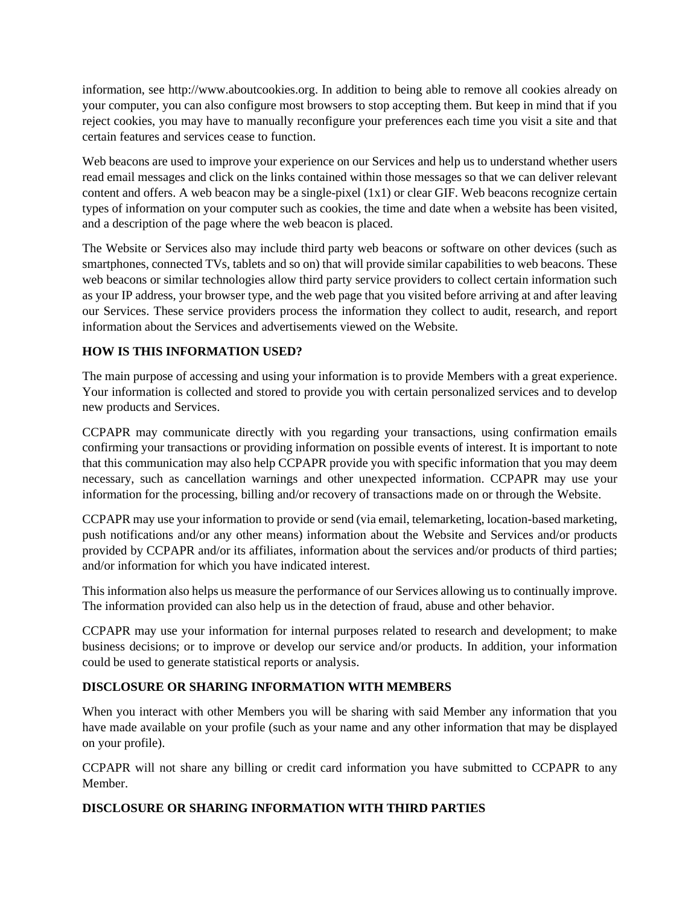information, see http://www.aboutcookies.org. In addition to being able to remove all cookies already on your computer, you can also configure most browsers to stop accepting them. But keep in mind that if you reject cookies, you may have to manually reconfigure your preferences each time you visit a site and that certain features and services cease to function.

Web beacons are used to improve your experience on our Services and help us to understand whether users read email messages and click on the links contained within those messages so that we can deliver relevant content and offers. A web beacon may be a single-pixel (1x1) or clear GIF. Web beacons recognize certain types of information on your computer such as cookies, the time and date when a website has been visited, and a description of the page where the web beacon is placed.

The Website or Services also may include third party web beacons or software on other devices (such as smartphones, connected TVs, tablets and so on) that will provide similar capabilities to web beacons. These web beacons or similar technologies allow third party service providers to collect certain information such as your IP address, your browser type, and the web page that you visited before arriving at and after leaving our Services. These service providers process the information they collect to audit, research, and report information about the Services and advertisements viewed on the Website.

# **HOW IS THIS INFORMATION USED?**

The main purpose of accessing and using your information is to provide Members with a great experience. Your information is collected and stored to provide you with certain personalized services and to develop new products and Services.

CCPAPR may communicate directly with you regarding your transactions, using confirmation emails confirming your transactions or providing information on possible events of interest. It is important to note that this communication may also help CCPAPR provide you with specific information that you may deem necessary, such as cancellation warnings and other unexpected information. CCPAPR may use your information for the processing, billing and/or recovery of transactions made on or through the Website.

CCPAPR may use your information to provide or send (via email, telemarketing, location-based marketing, push notifications and/or any other means) information about the Website and Services and/or products provided by CCPAPR and/or its affiliates, information about the services and/or products of third parties; and/or information for which you have indicated interest.

This information also helps us measure the performance of our Services allowing us to continually improve. The information provided can also help us in the detection of fraud, abuse and other behavior.

CCPAPR may use your information for internal purposes related to research and development; to make business decisions; or to improve or develop our service and/or products. In addition, your information could be used to generate statistical reports or analysis.

### **DISCLOSURE OR SHARING INFORMATION WITH MEMBERS**

When you interact with other Members you will be sharing with said Member any information that you have made available on your profile (such as your name and any other information that may be displayed on your profile).

CCPAPR will not share any billing or credit card information you have submitted to CCPAPR to any Member.

# **DISCLOSURE OR SHARING INFORMATION WITH THIRD PARTIES**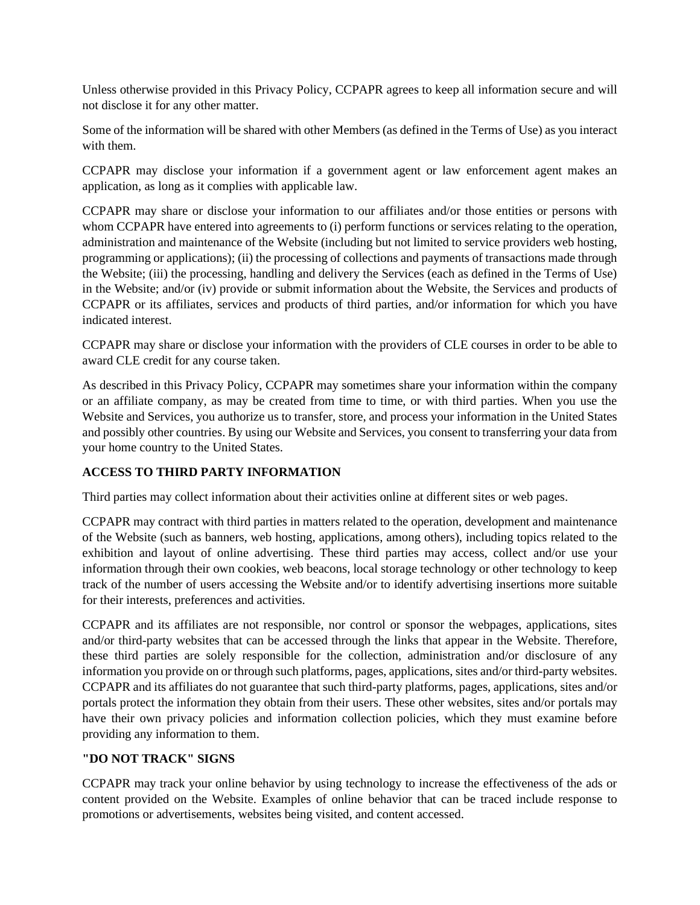Unless otherwise provided in this Privacy Policy, CCPAPR agrees to keep all information secure and will not disclose it for any other matter.

Some of the information will be shared with other Members (as defined in the Terms of Use) as you interact with them.

CCPAPR may disclose your information if a government agent or law enforcement agent makes an application, as long as it complies with applicable law.

CCPAPR may share or disclose your information to our affiliates and/or those entities or persons with whom CCPAPR have entered into agreements to (i) perform functions or services relating to the operation, administration and maintenance of the Website (including but not limited to service providers web hosting, programming or applications); (ii) the processing of collections and payments of transactions made through the Website; (iii) the processing, handling and delivery the Services (each as defined in the Terms of Use) in the Website; and/or (iv) provide or submit information about the Website, the Services and products of CCPAPR or its affiliates, services and products of third parties, and/or information for which you have indicated interest.

CCPAPR may share or disclose your information with the providers of CLE courses in order to be able to award CLE credit for any course taken.

As described in this Privacy Policy, CCPAPR may sometimes share your information within the company or an affiliate company, as may be created from time to time, or with third parties. When you use the Website and Services, you authorize us to transfer, store, and process your information in the United States and possibly other countries. By using our Website and Services, you consent to transferring your data from your home country to the United States.

### **ACCESS TO THIRD PARTY INFORMATION**

Third parties may collect information about their activities online at different sites or web pages.

CCPAPR may contract with third parties in matters related to the operation, development and maintenance of the Website (such as banners, web hosting, applications, among others), including topics related to the exhibition and layout of online advertising. These third parties may access, collect and/or use your information through their own cookies, web beacons, local storage technology or other technology to keep track of the number of users accessing the Website and/or to identify advertising insertions more suitable for their interests, preferences and activities.

CCPAPR and its affiliates are not responsible, nor control or sponsor the webpages, applications, sites and/or third-party websites that can be accessed through the links that appear in the Website. Therefore, these third parties are solely responsible for the collection, administration and/or disclosure of any information you provide on or through such platforms, pages, applications, sites and/or third-party websites. CCPAPR and its affiliates do not guarantee that such third-party platforms, pages, applications, sites and/or portals protect the information they obtain from their users. These other websites, sites and/or portals may have their own privacy policies and information collection policies, which they must examine before providing any information to them.

#### **"DO NOT TRACK" SIGNS**

CCPAPR may track your online behavior by using technology to increase the effectiveness of the ads or content provided on the Website. Examples of online behavior that can be traced include response to promotions or advertisements, websites being visited, and content accessed.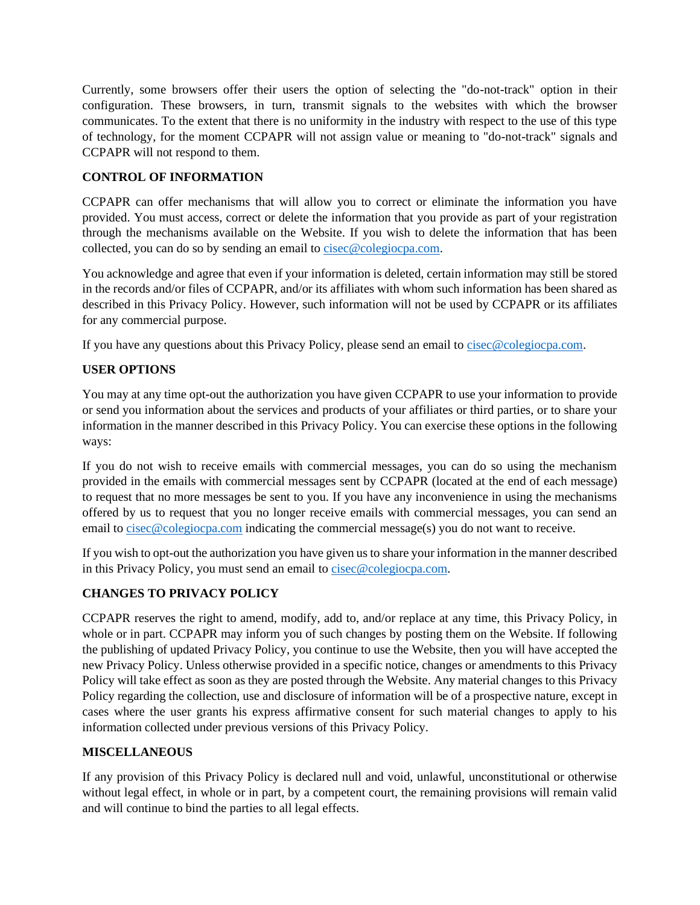Currently, some browsers offer their users the option of selecting the "do-not-track" option in their configuration. These browsers, in turn, transmit signals to the websites with which the browser communicates. To the extent that there is no uniformity in the industry with respect to the use of this type of technology, for the moment CCPAPR will not assign value or meaning to "do-not-track" signals and CCPAPR will not respond to them.

# **CONTROL OF INFORMATION**

CCPAPR can offer mechanisms that will allow you to correct or eliminate the information you have provided. You must access, correct or delete the information that you provide as part of your registration through the mechanisms available on the Website. If you wish to delete the information that has been collected, you can do so by sending an email to [cisec@colegiocpa.com.](mailto:cisec@colegiocpa.com)

You acknowledge and agree that even if your information is deleted, certain information may still be stored in the records and/or files of CCPAPR, and/or its affiliates with whom such information has been shared as described in this Privacy Policy. However, such information will not be used by CCPAPR or its affiliates for any commercial purpose.

If you have any questions about this Privacy Policy, please send an email to [cisec@colegiocpa.com.](mailto:cisec@colegiocpa.com)

### **USER OPTIONS**

You may at any time opt-out the authorization you have given CCPAPR to use your information to provide or send you information about the services and products of your affiliates or third parties, or to share your information in the manner described in this Privacy Policy. You can exercise these options in the following ways:

If you do not wish to receive emails with commercial messages, you can do so using the mechanism provided in the emails with commercial messages sent by CCPAPR (located at the end of each message) to request that no more messages be sent to you. If you have any inconvenience in using the mechanisms offered by us to request that you no longer receive emails with commercial messages, you can send an email to [cisec@colegiocpa.com](mailto:cisec@colegiocpa.com) indicating the commercial message(s) you do not want to receive.

If you wish to opt-out the authorization you have given us to share your information in the manner described in this Privacy Policy, you must send an email to [cisec@colegiocpa.com.](mailto:cisec@colegiocpa.com)

### **CHANGES TO PRIVACY POLICY**

CCPAPR reserves the right to amend, modify, add to, and/or replace at any time, this Privacy Policy, in whole or in part. CCPAPR may inform you of such changes by posting them on the Website. If following the publishing of updated Privacy Policy, you continue to use the Website, then you will have accepted the new Privacy Policy. Unless otherwise provided in a specific notice, changes or amendments to this Privacy Policy will take effect as soon as they are posted through the Website. Any material changes to this Privacy Policy regarding the collection, use and disclosure of information will be of a prospective nature, except in cases where the user grants his express affirmative consent for such material changes to apply to his information collected under previous versions of this Privacy Policy.

### **MISCELLANEOUS**

If any provision of this Privacy Policy is declared null and void, unlawful, unconstitutional or otherwise without legal effect, in whole or in part, by a competent court, the remaining provisions will remain valid and will continue to bind the parties to all legal effects.